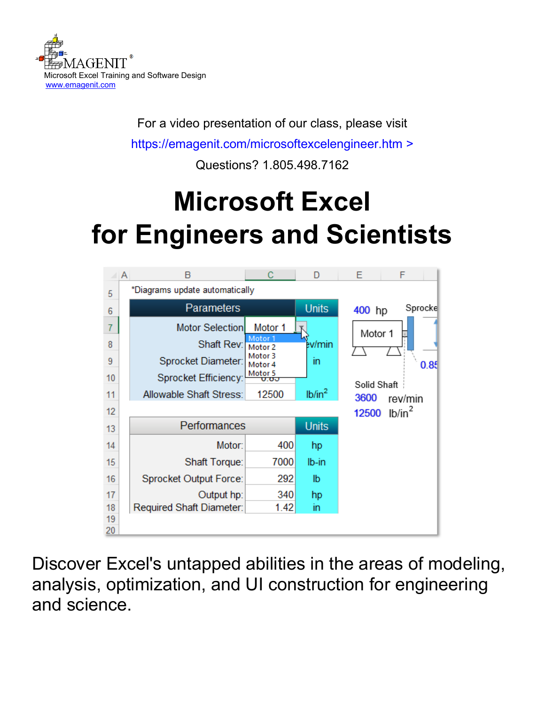

For a video presentation of our class, please visit

<https://emagenit.com/microsoftexcelengineer.htm>>

Questions? 1.805.498.7162

# **Microsoft Excel for Engineers and Scientists**



Discover Excel's untapped abilities in the areas of modeling, analysis, optimization, and UI construction for engineering and science.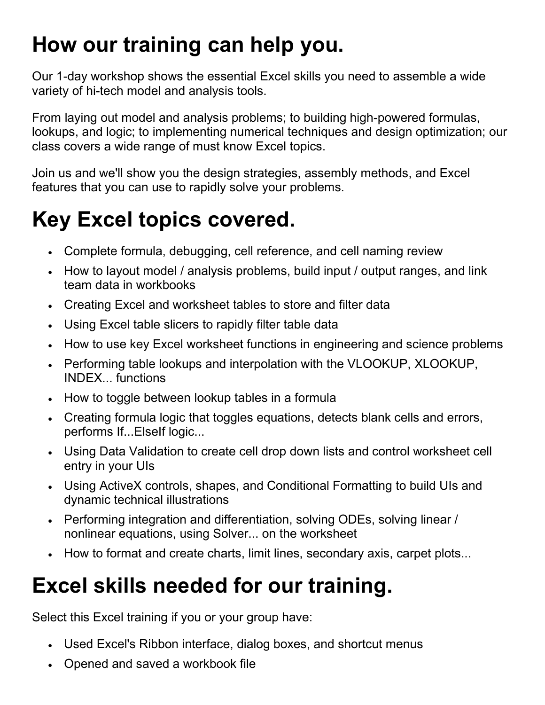# **How our training can help you.**

Our 1-day workshop shows the essential Excel skills you need to assemble a wide variety of hi-tech model and analysis tools.

From laying out model and analysis problems; to building high-powered formulas, lookups, and logic; to implementing numerical techniques and design optimization; our class covers a wide range of must know Excel topics.

Join us and we'll show you the design strategies, assembly methods, and Excel features that you can use to rapidly solve your problems.

## **Key Excel topics covered.**

- Complete formula, debugging, cell reference, and cell naming review
- How to layout model / analysis problems, build input / output ranges, and link team data in workbooks
- Creating Excel and worksheet tables to store and filter data
- Using Excel table slicers to rapidly filter table data
- How to use key Excel worksheet functions in engineering and science problems
- Performing table lookups and interpolation with the VLOOKUP, XLOOKUP, INDEX... functions
- How to toggle between lookup tables in a formula
- Creating formula logic that toggles equations, detects blank cells and errors, performs If...ElseIf logic...
- Using Data Validation to create cell drop down lists and control worksheet cell entry in your UIs
- Using ActiveX controls, shapes, and Conditional Formatting to build UIs and dynamic technical illustrations
- Performing integration and differentiation, solving ODEs, solving linear / nonlinear equations, using Solver... on the worksheet
- How to format and create charts, limit lines, secondary axis, carpet plots...

# **Excel skills needed for our training.**

Select this Excel training if you or your group have:

- Used Excel's Ribbon interface, dialog boxes, and shortcut menus
- Opened and saved a workbook file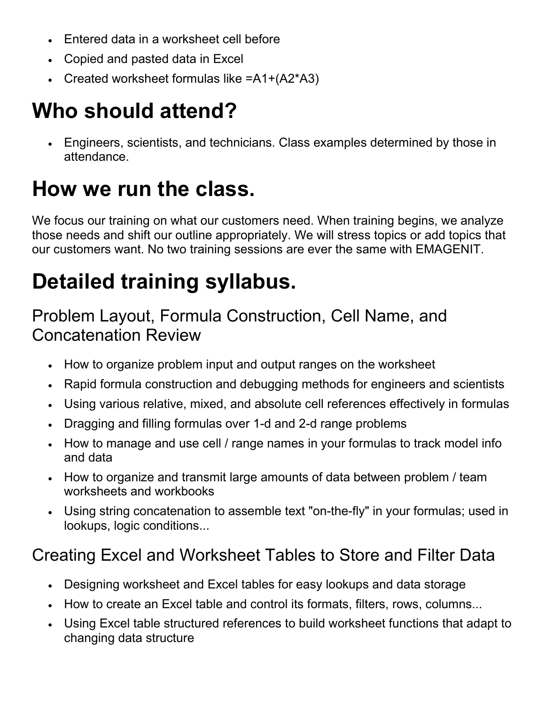- Entered data in a worksheet cell before
- Copied and pasted data in Excel
- Created worksheet formulas like =A1+(A2\*A3)

# **Who should attend?**

• Engineers, scientists, and technicians. Class examples determined by those in attendance.

# **How we run the class.**

We focus our training on what our customers need. When training begins, we analyze those needs and shift our outline appropriately. We will stress topics or add topics that our customers want. No two training sessions are ever the same with EMAGENIT.

# **Detailed training syllabus.**

#### Problem Layout, Formula Construction, Cell Name, and Concatenation Review

- How to organize problem input and output ranges on the worksheet
- Rapid formula construction and debugging methods for engineers and scientists
- Using various relative, mixed, and absolute cell references effectively in formulas
- Dragging and filling formulas over 1-d and 2-d range problems
- How to manage and use cell / range names in your formulas to track model info and data
- How to organize and transmit large amounts of data between problem / team worksheets and workbooks
- Using string concatenation to assemble text "on-the-fly" in your formulas; used in lookups, logic conditions...

### Creating Excel and Worksheet Tables to Store and Filter Data

- Designing worksheet and Excel tables for easy lookups and data storage
- How to create an Excel table and control its formats, filters, rows, columns...
- Using Excel table structured references to build worksheet functions that adapt to changing data structure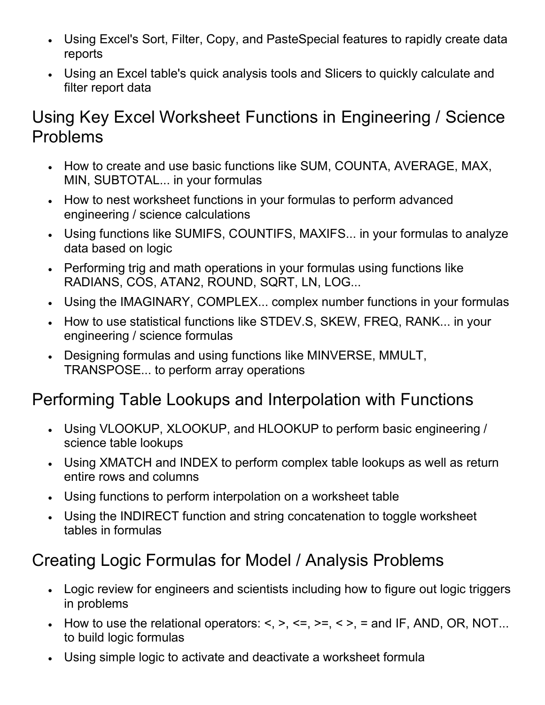- Using Excel's Sort, Filter, Copy, and PasteSpecial features to rapidly create data reports
- Using an Excel table's quick analysis tools and Slicers to quickly calculate and filter report data

#### Using Key Excel Worksheet Functions in Engineering / Science Problems

- How to create and use basic functions like SUM, COUNTA, AVERAGE, MAX, MIN, SUBTOTAL... in your formulas
- How to nest worksheet functions in your formulas to perform advanced engineering / science calculations
- Using functions like SUMIFS, COUNTIFS, MAXIFS... in your formulas to analyze data based on logic
- Performing trig and math operations in your formulas using functions like RADIANS, COS, ATAN2, ROUND, SQRT, LN, LOG...
- Using the IMAGINARY, COMPLEX... complex number functions in your formulas
- How to use statistical functions like STDEV.S, SKEW, FREQ, RANK... in your engineering / science formulas
- Designing formulas and using functions like MINVERSE, MMULT, TRANSPOSE... to perform array operations

#### Performing Table Lookups and Interpolation with Functions

- Using VLOOKUP, XLOOKUP, and HLOOKUP to perform basic engineering / science table lookups
- Using XMATCH and INDEX to perform complex table lookups as well as return entire rows and columns
- Using functions to perform interpolation on a worksheet table
- Using the INDIRECT function and string concatenation to toggle worksheet tables in formulas

### Creating Logic Formulas for Model / Analysis Problems

- Logic review for engineers and scientists including how to figure out logic triggers in problems
- How to use the relational operators:  $\leq, \geq, \leq, \geq, \leq, \geq, \geq, \leq$  and IF, AND, OR, NOT... to build logic formulas
- Using simple logic to activate and deactivate a worksheet formula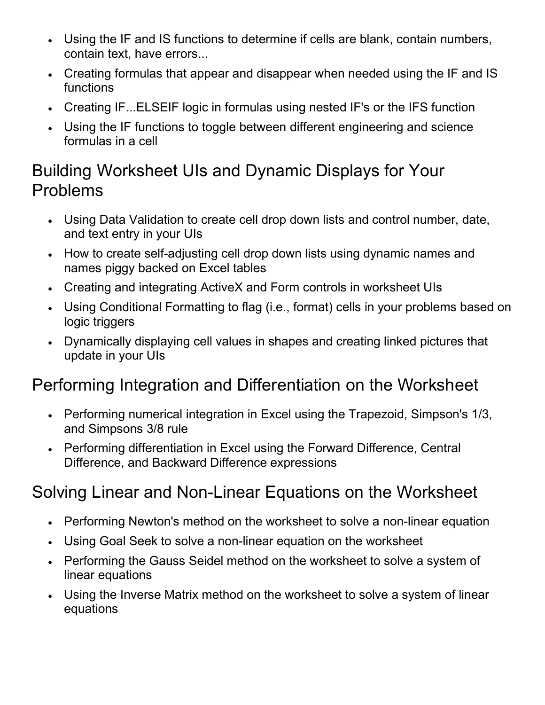- Using the IF and IS functions to determine if cells are blank, contain numbers, contain text, have errors...
- Creating formulas that appear and disappear when needed using the IF and IS functions
- Creating IF...ELSEIF logic in formulas using nested IF's or the IFS function
- Using the IF functions to toggle between different engineering and science formulas in a cell

#### Building Worksheet UIs and Dynamic Displays for Your Problems

- Using Data Validation to create cell drop down lists and control number, date, and text entry in your UIs
- How to create self-adjusting cell drop down lists using dynamic names and names piggy backed on Excel tables
- Creating and integrating ActiveX and Form controls in worksheet UIs
- Using Conditional Formatting to flag (i.e., format) cells in your problems based on logic triggers
- Dynamically displaying cell values in shapes and creating linked pictures that update in your UIs

### Performing Integration and Differentiation on the Worksheet

- Performing numerical integration in Excel using the Trapezoid, Simpson's 1/3, and Simpsons 3/8 rule
- Performing differentiation in Excel using the Forward Difference, Central Difference, and Backward Difference expressions

### Solving Linear and Non-Linear Equations on the Worksheet

- Performing Newton's method on the worksheet to solve a non-linear equation
- Using Goal Seek to solve a non-linear equation on the worksheet
- Performing the Gauss Seidel method on the worksheet to solve a system of linear equations
- Using the Inverse Matrix method on the worksheet to solve a system of linear equations